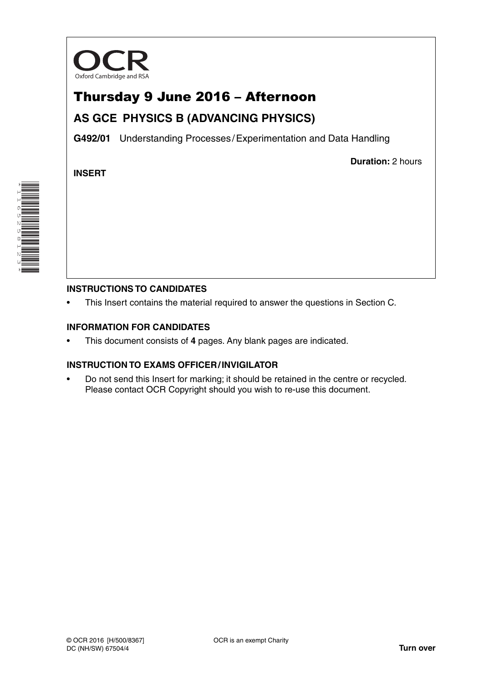

# Thursday 9 June 2016 – Afternoon

## **AS GCE PHYSICS B (ADVANCING PHYSICS)**

**G492/01** Understanding Processes / Experimentation and Data Handling

**INSERT**

**Duration:** 2 hours

### **INSTRUCTIONS TO CANDIDATES**

This Insert contains the material required to answer the questions in Section C.

#### **INFORMATION FOR CANDIDATES**

• This document consists of **4** pages. Any blank pages are indicated.

#### **INSTRUCTION TO EXAMS OFFICER / INVIGILATOR**

• Do not send this Insert for marking; it should be retained in the centre or recycled. Please contact OCR Copyright should you wish to re-use this document.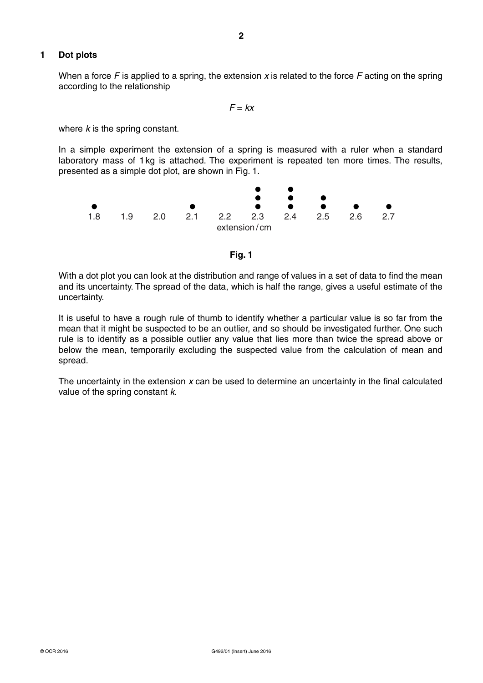#### **1 Dot plots**

When a force *F* is applied to a spring, the extension *x* is related to the force *F* acting on the spring according to the relationship

*F* = *kx*

where *k* is the spring constant.

In a simple experiment the extension of a spring is measured with a ruler when a standard laboratory mass of 1 kg is attached. The experiment is repeated ten more times. The results, presented as a simple dot plot, are shown in Fig. 1.





With a dot plot you can look at the distribution and range of values in a set of data to find the mean and its uncertainty. The spread of the data, which is half the range, gives a useful estimate of the uncertainty.

It is useful to have a rough rule of thumb to identify whether a particular value is so far from the mean that it might be suspected to be an outlier, and so should be investigated further. One such rule is to identify as a possible outlier any value that lies more than twice the spread above or below the mean, temporarily excluding the suspected value from the calculation of mean and spread.

The uncertainty in the extension *x* can be used to determine an uncertainty in the final calculated value of the spring constant *k*.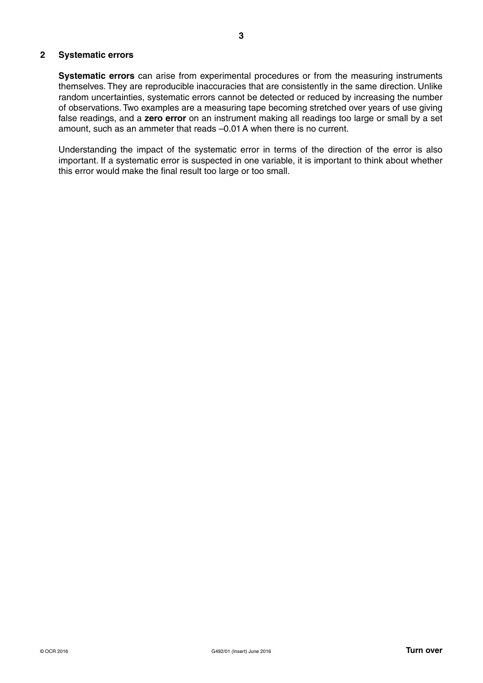#### **2 Systematic errors**

 **Systematic errors** can arise from experimental procedures or from the measuring instruments themselves. They are reproducible inaccuracies that are consistently in the same direction. Unlike random uncertainties, systematic errors cannot be detected or reduced by increasing the number of observations. Two examples are a measuring tape becoming stretched over years of use giving false readings, and a **zero error** on an instrument making all readings too large or small by a set amount, such as an ammeter that reads –0.01 A when there is no current.

Understanding the impact of the systematic error in terms of the direction of the error is also important. If a systematic error is suspected in one variable, it is important to think about whether this error would make the final result too large or too small.